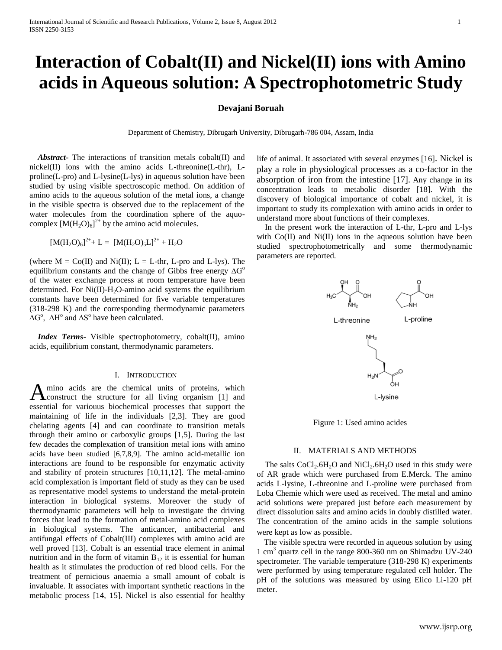# **Interaction of Cobalt(II) and Nickel(II) ions with Amino acids in Aqueous solution: A Spectrophotometric Study**

## **Devajani Boruah**

Department of Chemistry, Dibrugarh University, Dibrugarh-786 004, Assam, India

 *Abstract***-** The interactions of transition metals cobalt(II) and nickel(II) ions with the amino acids L-threonine(L-thr), Lproline(L-pro) and L-lysine(L-lys) in aqueous solution have been studied by using visible spectroscopic method. On addition of amino acids to the aqueous solution of the metal ions, a change in the visible spectra is observed due to the replacement of the water molecules from the coordination sphere of the aquocomplex  $[M(H_2O)_6]^{2+}$  by the amino acid molecules.

$$
[M(H_2O)_6]^{2+} + L = [M(H_2O)_5L]^{2+} + H_2O
$$

(where  $M = Co(II)$  and Ni(II);  $L = L$ -thr, L-pro and L-lys). The equilibrium constants and the change of Gibbs free energy  $\Delta G^{\circ}$ of the water exchange process at room temperature have been determined. For  $Ni(II)$ -H<sub>2</sub>O-amino acid systems the equilibrium constants have been determined for five variable temperatures (318-298 K) and the corresponding thermodynamic parameters  $\Delta G^{\circ}$ ,  $\Delta H^{\circ}$  and  $\Delta S^{\circ}$  have been calculated.

 *Index Terms*- Visible spectrophotometry, cobalt(II), amino acids, equilibrium constant, thermodynamic parameters.

## I. INTRODUCTION

mino acids are the chemical units of proteins, which A mino acids are the chemical units of proteins, which<br>
construct the structure for all living organism [1] and essential for variouus biochemical processes that support the maintaining of life in the individuals [2,3]. They are good chelating agents [4] and can coordinate to transition metals through their amino or carboxylic groups [1,5]. During the last few decades the complexation of transition metal ions with amino acids have been studied [6,7,8,9]. The amino acid-metallic ion interactions are found to be responsible for enzymatic activity and stability of protein structures [10,11,12]. The metal-amino acid complexation is important field of study as they can be used as representative model systems to understand the metal-protein interaction in biological systems. Moreover the study of thermodynamic parameters will help to investigate the driving forces that lead to the formation of metal-amino acid complexes in biological systems. The anticancer, antibacterial and antifungal effects of Cobalt(III) complexes with amino acid are well proved [13]. Cobalt is an essential trace element in animal nutrition and in the form of vitamin  $B_{12}$  it is essential for human health as it stimulates the production of red blood cells. For the treatment of pernicious anaemia a small amount of cobalt is invaluable. It associates with important synthetic reactions in the metabolic process [14, 15]. Nickel is also essential for healthy

life of animal. It associated with several enzymes [16]. Nickel is play a role in physiological processes as a co-factor in the absorption of iron from the intestine [17]. Any change in its concentration leads to metabolic disorder [18]. With the discovery of biological importance of cobalt and nickel, it is important to study its complexation with amino acids in order to understand more about functions of their complexes.

 In the present work the interaction of L-thr, L-pro and L-lys with Co(II) and Ni(II) ions in the aqueous solution have been studied spectrophotometrically and some thermodynamic parameters are reported.



Figure 1: Used amino acides

## II. MATERIALS AND METHODS

The salts  $CoCl<sub>2</sub>.6H<sub>2</sub>O$  and  $NiCl<sub>2</sub>.6H<sub>2</sub>O$  used in this study were of AR grade which were purchased from E.Merck. The amino acids L-lysine, L-threonine and L-proline were purchased from Loba Chemie which were used as received. The metal and amino acid solutions were prepared just before each measurement by direct dissolution salts and amino acids in doubly distilled water. The concentration of the amino acids in the sample solutions were kept as low as possible.

 The visible spectra were recorded in aqueous solution by using 1 cm<sup>3</sup> quartz cell in the range 800-360 nm on Shimadzu UV-240 spectrometer. The variable temperature (318-298 K) experiments were performed by using temperature regulated cell holder. The pH of the solutions was measured by using Elico Li-120 pH meter.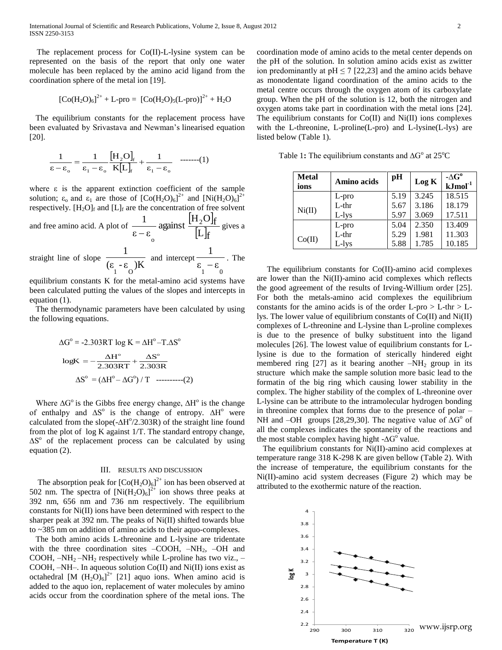International Journal of Scientific and Research Publications, Volume 2, Issue 8, August 2012 2 ISSN 2250-3153

 The replacement process for Co(II)-L-lysine system can be represented on the basis of the report that only one water molecule has been replaced by the amino acid ligand from the coordination sphere of the metal ion [19].

$$
[Co(H_2O)_6]^{2+} + L-pro = [Co(H_2O)_5(L-pro)]^{2+} + H_2O
$$

 The equilibrium constants for the replacement process have been evaluated by Srivastava and Newman's linearised equation [20].

$$
\frac{1}{\varepsilon - \varepsilon_o} = \frac{1}{\varepsilon_1 - \varepsilon_o} \frac{\left[H_2 O\right]_f}{K \left[L\right]_f} + \frac{1}{\varepsilon_1 - \varepsilon_o} \quad \text{----(1)}
$$

where  $\varepsilon$  is the apparent extinction coefficient of the sample solution;  $\varepsilon_0$  and  $\varepsilon_1$  are those of  $[Co(H_2O)_6]^{2+}$  and  $[Ni(H_2O)_6]^{2+}$ respectively.  $[H_2O]_f$  and  $[L]_f$  are the concentration of free solvent and free amino acid. A plot of  $|H_2O|_1$  $\lfloor L \rfloor_{\textup{f}}$ against  $\frac{\left[H_2O\right]_f}{5.1}$  $3-3$  $1$  2 2  $\mu$   $H_2$  $\frac{1}{\epsilon}$  against  $\frac{1}{\epsilon}$  agives a  $\left[\text{L}\right]$ 1 1

straight line of slope  $\frac{\overline{E_1 - E_2}}{E_2}$ 1 O and intercept  $\epsilon_1 - \epsilon_0$  $\frac{\ }{\ }$ . The

equilibrium constants K for the metal-amino acid systems have been calculated putting the values of the slopes and intercepts in equation (1).

 The thermodynamic parameters have been calculated by using the following equations.

$$
\Delta G^{\circ} = -2.303RT \log K = \Delta H^{\circ} - T \Delta S^{\circ}
$$

$$
\log K = -\frac{\Delta H^{\circ}}{2.303RT} + \frac{\Delta S^{\circ}}{2.303R}
$$

$$
\Delta S^{\circ} = (\Delta H^{\circ} - \Delta G^{\circ}) / T \quad \text{...........} (2)
$$

Where  $\Delta G^{\circ}$  is the Gibbs free energy change,  $\Delta H^{\circ}$  is the change of enthalpy and  $\Delta S^{\circ}$  is the change of entropy.  $\Delta H^{\circ}$  were calculated from the slope(- $\Delta H^{\circ}/2.303R$ ) of the straight line found from the plot of log K against 1/T. The standard entropy change, ∆S<sup>o</sup> of the replacement process can be calculated by using equation (2).

#### III. RESULTS AND DISCUSSION

The absorption peak for  $[Co(H_2O)_6]^{2+}$  ion has been observed at 502 nm. The spectra of  $\left[\text{Ni}(\text{H}_2\text{O})_6\right]^{2+}$  ion shows three peaks at 392 nm, 656 nm and 736 nm respectively. The equilibrium constants for Ni(II) ions have been determined with respect to the sharper peak at 392 nm. The peaks of Ni(II) shifted towards blue to ~385 nm on addition of amino acids to their aquo-complexes.

 The both amino acids L-threonine and L-lysine are tridentate with the three coordination sites  $-COOH$ ,  $-NH<sub>2</sub>$ ,  $-OH$  and COOH,  $-NH_2-NH_2$  respectively while L-proline has two viz.,  $-$ COOH,  $-NH-$ . In aqueous solution  $Co(II)$  and  $Ni(II)$  ions exist as octahedral  $[M (H_2O)_6]^2$ <sup>+</sup> [21] aquo ions. When amino acid is added to the aquo ion, replacement of water molecules by amino acids occur from the coordination sphere of the metal ions. The

coordination mode of amino acids to the metal center depends on the pH of the solution. In solution amino acids exist as zwitter ion predominantly at  $pH \le 7$  [22,23] and the amino acids behave as monodentate ligand coordination of the amino acids to the metal centre occurs through the oxygen atom of its carboxylate group. When the pH of the solution is 12, both the nitrogen and oxygen atoms take part in coordination with the metal ions [24]. The equilibrium constants for  $Co(II)$  and  $Ni(II)$  ions complexes with the L-threonine, L-proline(L-pro) and L-lysine(L-lys) are listed below (Table 1).

Table 1: The equilibrium constants and  $\Delta G^{\circ}$  at 25<sup>o</sup>C

| <b>Metal</b><br>ions | <b>Amino acids</b> | pH   | Log K | - $\Delta G^{\rm o}$<br>$kJmol-1$ |
|----------------------|--------------------|------|-------|-----------------------------------|
|                      | L-pro              | 5.19 | 3.245 | 18.515                            |
| Ni(II)               | $L$ -thr           | 5.67 | 3.186 | 18.179                            |
|                      | L-lys              | 5.97 | 3.069 | 17.511                            |
|                      | L-pro              | 5.04 | 2.350 | 13.409                            |
| Co(II)               | $L$ -thr           | 5.29 | 1.981 | 11.303                            |
|                      | L-lys              | 5.88 | 1.785 | 10.185                            |

 The equilibrium constants for Co(II)-amino acid complexes are lower than the Ni(II)-amino acid complexes which reflects the good agreement of the results of Irving-Willium order [25]. For both the metals-amino acid complexes the equilibrium constants for the amino acids is of the order  $L$ -pro  $>L$ -thr  $>L$ lys. The lower value of equilibrium constants of Co(II) and Ni(II) complexes of L-threonine and L-lysine than L-proline complexes is due to the presence of bulky substituent into the ligand molecules [26]. The lowest value of equilibrium constants for Llysine is due to the formation of sterically hindered eight membered ring  $[27]$  as it bearing another  $-NH<sub>2</sub>$  group in its structure which make the sample solution more basic lead to the formatin of the big ring which causing lower stability in the complex. The higher stability of the complex of L-threonine over L-lysine can be attribute to the intramolecular hydrogen bonding in threonine complex that forms due to the presence of polar – NH and –OH groups [28,29,30]. The negative value of  $\Delta G^{\circ}$  of all the complexes indicates the spontaneity of the reactions and the most stable complex having hight - $\Delta G^{\circ}$  value.

 The equilibrium constants for Ni(II)-amino acid complexes at temperature range 318 K-298 K are given bellow (Table 2). With the increase of temperature, the equilibrium constants for the Ni(II)-amino acid system decreases (Figure 2) which may be attributed to the exothermic nature of the reaction.

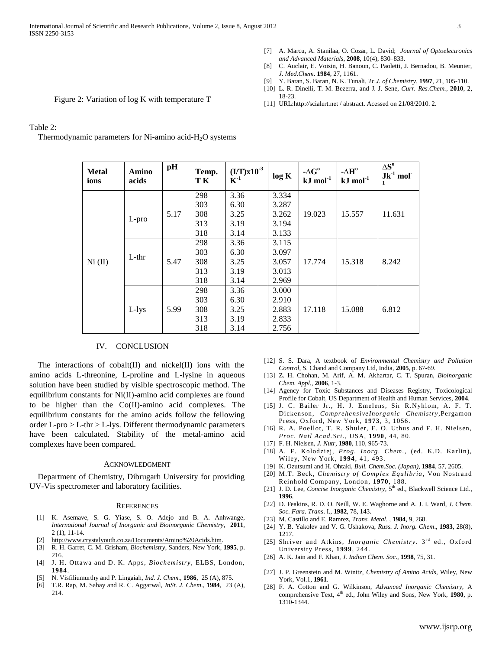- [7] A. Marcu, A. Stanilaa, O. Cozar, L. David; *Journal of Optoelectronics and Advanced Materials*, **2008**, 10(4), 830–833.
- [8] C. Auclair, E. Voisin, H. Banoun, C. Paoletti, J. Bernadou, B. Meunier, *J. Med.Chem*. **1984**, 27, 1161.
- [9] Y. Baran, S. Baran, N. K. Tunali, *Tr.J. of Chemistry*, **1997**, 21, 105-110.
- [10] L. R. Dinelli, T. M. Bezerra, and J. J. Sene, *Curr. Res.Chem.,* **2010**, 2, 18-23.
- [11] URL:http:*//*scialert.net / abstract. Acessed on 21/08/2010. 2.

Figure 2: Variation of log K with temperature T

## Table 2:

Thermodynamic parameters for Ni-amino acid- $H_2O$  systems

| <b>Metal</b><br>ions | Amino<br>acids | pH   | Temp.<br>T K | $(I/T)x10^{-3}$<br>$K^{-1}$ | log K | - $\Delta G^o$<br>$kJ \text{ mol}^{-1}$ | $-AH^o$<br>$kJ$ mol $^{-1}$ | $\Delta S^o$<br>$Jk^{-1}$ mol |
|----------------------|----------------|------|--------------|-----------------------------|-------|-----------------------------------------|-----------------------------|-------------------------------|
| Ni (II)              | L-pro          |      | 298          | 3.36                        | 3.334 |                                         |                             |                               |
|                      |                |      | 303          | 6.30                        | 3.287 |                                         |                             |                               |
|                      |                | 5.17 | 308          | 3.25                        | 3.262 | 19.023                                  | 15.557                      | 11.631                        |
|                      |                |      | 313          | 3.19                        | 3.194 |                                         |                             |                               |
|                      |                |      | 318          | 3.14                        | 3.133 |                                         |                             |                               |
|                      | $L$ -thr       |      | 298          | 3.36                        | 3.115 |                                         |                             |                               |
|                      |                |      | 303          | 6.30                        | 3.097 |                                         |                             |                               |
|                      |                | 5.47 | 308          | 3.25                        | 3.057 | 17.774                                  | 15.318                      | 8.242                         |
|                      |                |      | 313          | 3.19                        | 3.013 |                                         |                             |                               |
|                      |                |      | 318          | 3.14                        | 2.969 |                                         |                             |                               |
|                      | $L$ -lys       |      | 298          | 3.36                        | 3.000 |                                         |                             |                               |
|                      |                | 5.99 | 303          | 6.30                        | 2.910 |                                         |                             |                               |
|                      |                |      | 308          | 3.25                        | 2.883 | 17.118                                  | 15.088                      | 6.812                         |
|                      |                |      | 313          | 3.19                        | 2.833 |                                         |                             |                               |
|                      |                |      | 318          | 3.14                        | 2.756 |                                         |                             |                               |

## IV. CONCLUSION

The interactions of cobalt $(II)$  and nickel $(II)$  ions with the amino acids L-threonine, L-proline and L-lysine in aqueous solution have been studied by visible spectroscopic method. The equilibrium constants for Ni(II)-amino acid complexes are found to be higher than the Co(II)-amino acid complexes. The equilibrium constants for the amino acids follow the fellowing order L-pro > L-thr > L-lys. Different thermodynamic parameters have been calculated. Stability of the metal-amino acid complexes have been compared.

### ACKNOWLEDGMENT

 Department of Chemistry, Dibrugarh University for providing UV-Vis spectrometer and laboratory facilities.

#### **REFERENCES**

- [1] K. Asemave, S. G. Yiase, S. O. Adejo and B. A. Anhwange, *International Journal of Inorganic and Bioinorganic Chemistry,* **2011**, 2 (1), 11-14.
- [2] http://www.crystalyouth.co.za/Documents/Amino%20Acids.htm.
- [3] R. H. Garret, C. M. Grisham, *Biochemistry*, Sanders, New York, **1995**, p. 216.
- [4] J. H. Ottawa and D. K. Apps, *Biochemistry,* ELBS, London, **1984**.
- [5] N. Visfiliumurthy and P. Lingaiah, *Ind. J. Chem.*, **1986**, 25 (A), 875.
- [6] T.R. Rap, M. Sahay and R. C. Aggarwal, *InSt. J. Chem*., **1984**, 23 (A), 214.
- [12] S. S. Dara, A textbook of *Environmental Chemistry and Pollution Control,* S*.* Chand and Company Ltd, India, **2005**, p. 67-69.
- [13] Z. H. Chohan, M. Arif, A. M. Akhartar, C. T. Spuran, *Bioinorganic Chem. Appl.,* **2006**, 1-3.
- [14] Agency for Toxic Substances and Diseases Registry, Toxicological Profile for Cobalt, US Department of Health and Human Services, **2004**.
- [15] J. C. Bailer Jr., H. J. Emelens, Sir R.Nyhlom, A. F. T. Dickenson, *ComprehensiveInorganic Chemistry,*Pergamon Press, Oxford, New York, **1973**, 3, 1056.
- [16] R. A. Poellot, T. R. Shuler, E. O. Uthus and F. H. Nielsen, *Proc. Natl Acad.Sci.*, USA, **1990**, 44, 80.
- [17] F. H. Nielsen, *J. Nutr,* **1980**, 110*,* 965-73.
- [18] A. F. Kolodziej, *Prog. Inorg. Chem.*, (ed. K.D. Karlin), Wiley, New York, **1994**, 41, 493.
- [19] K. Ozutsumi and H. Ohtaki, *Bull. Chem.Soc. (Japan)*, **1984**, 57, 2605.
- [20] M.T. Beck, *Chemistry of Complex Equlibria*, Von Nostrand Reinhold Company, London, **1970**, 188.
- [21] J. D. Lee, *Concise Inorganic Chemistry*, 5<sup>th</sup> ed., Blackwell Science Ltd., **1996**.
- [22] D. Feakins, R. D. O. Neill, W. E. Waghorne and A. J. I. Ward, *J. Chem. Soc. Fara. Trans*. I., **1982**, 78, 143.
- [23] M. Castillo and E. Ramrez, *Trans. Metal*. , **1984**, 9, 268.
- [24] Y. B. Yakolev and V. G. Ushakova, *Russ. J. Inorg. Chem*., **1983**, 28(8), 1217.
- [25] Shriver and Atkins, *Inorganic Chemistry*. 3<sup>rd</sup> ed., Oxford University Press, **1999**, 244.
- [26] A. K. Jain and F. Khan, *J. Indian Chem. Soc*., **1998**, 75, 31.
- [27] J. P. Greenstein and M. Winitz, *Chemistry of Amino Acids*, Wiley, New York, Vol.1, **1961**.
- [28] F. A. Cotton and G. Wilkinson, *Advanced Inorganic Chemistry*, A comprehensive Text, 4<sup>th</sup> ed., John Wiley and Sons, New York, 1980, p. 1310-1344.